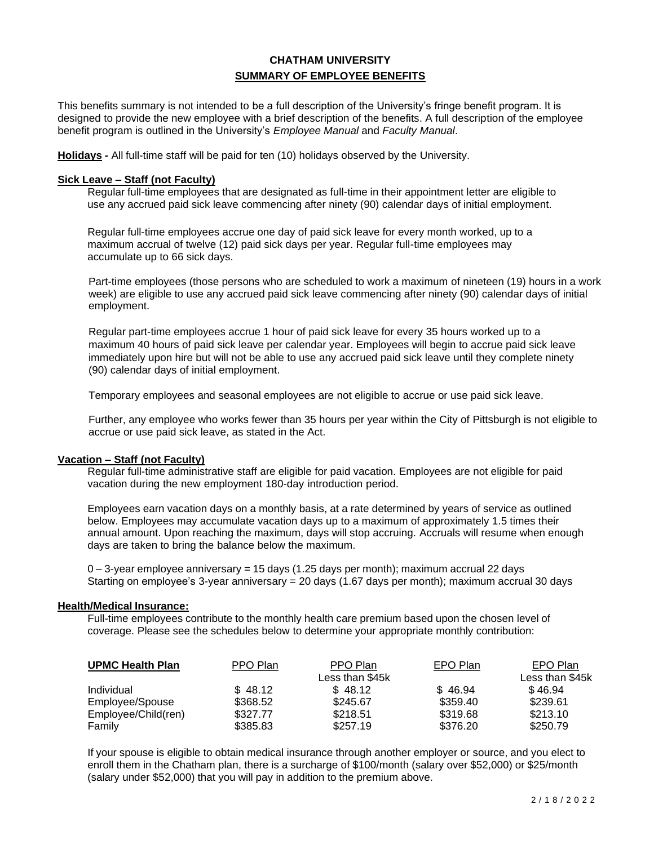# **CHATHAM UNIVERSITY SUMMARY OF EMPLOYEE BENEFITS**

This benefits summary is not intended to be a full description of the University's fringe benefit program. It is designed to provide the new employee with a brief description of the benefits. A full description of the employee benefit program is outlined in the University's *Employee Manual* and *Faculty Manual*.

**Holidays -** All full-time staff will be paid for ten (10) holidays observed by the University.

#### **Sick Leave – Staff (not Faculty)**

Regular full-time employees that are designated as full-time in their appointment letter are eligible to use any accrued paid sick leave commencing after ninety (90) calendar days of initial employment.

Regular full-time employees accrue one day of paid sick leave for every month worked, up to a maximum accrual of twelve (12) paid sick days per year. Regular full-time employees may accumulate up to 66 sick days.

Part-time employees (those persons who are scheduled to work a maximum of nineteen (19) hours in a work week) are eligible to use any accrued paid sick leave commencing after ninety (90) calendar days of initial employment.

Regular part-time employees accrue 1 hour of paid sick leave for every 35 hours worked up to a maximum 40 hours of paid sick leave per calendar year. Employees will begin to accrue paid sick leave immediately upon hire but will not be able to use any accrued paid sick leave until they complete ninety (90) calendar days of initial employment.

Temporary employees and seasonal employees are not eligible to accrue or use paid sick leave.

Further, any employee who works fewer than 35 hours per year within the City of Pittsburgh is not eligible to accrue or use paid sick leave, as stated in the Act.

# **Vacation – Staff (not Faculty)**

Regular full-time administrative staff are eligible for paid vacation. Employees are not eligible for paid vacation during the new employment 180-day introduction period.

Employees earn vacation days on a monthly basis, at a rate determined by years of service as outlined below. Employees may accumulate vacation days up to a maximum of approximately 1.5 times their annual amount. Upon reaching the maximum, days will stop accruing. Accruals will resume when enough days are taken to bring the balance below the maximum.

 $0 - 3$ -year employee anniversary = 15 days (1.25 days per month); maximum accrual 22 days Starting on employee's 3-year anniversary = 20 days (1.67 days per month); maximum accrual 30 days

#### **Health/Medical Insurance:**

Full-time employees contribute to the monthly health care premium based upon the chosen level of coverage. Please see the schedules below to determine your appropriate monthly contribution:

| <b>UPMC Health Plan</b> | PPO Plan | PPO Plan        | EPO Plan | EPO Plan        |
|-------------------------|----------|-----------------|----------|-----------------|
|                         |          | Less than \$45k |          | Less than \$45k |
| Individual              | \$48.12  | \$48.12         | \$46.94  | \$46.94         |
| Employee/Spouse         | \$368.52 | \$245.67        | \$359.40 | \$239.61        |
| Employee/Child(ren)     | \$327.77 | \$218.51        | \$319.68 | \$213.10        |
| Family                  | \$385.83 | \$257.19        | \$376.20 | \$250.79        |

If your spouse is eligible to obtain medical insurance through another employer or source, and you elect to enroll them in the Chatham plan, there is a surcharge of \$100/month (salary over \$52,000) or \$25/month (salary under \$52,000) that you will pay in addition to the premium above.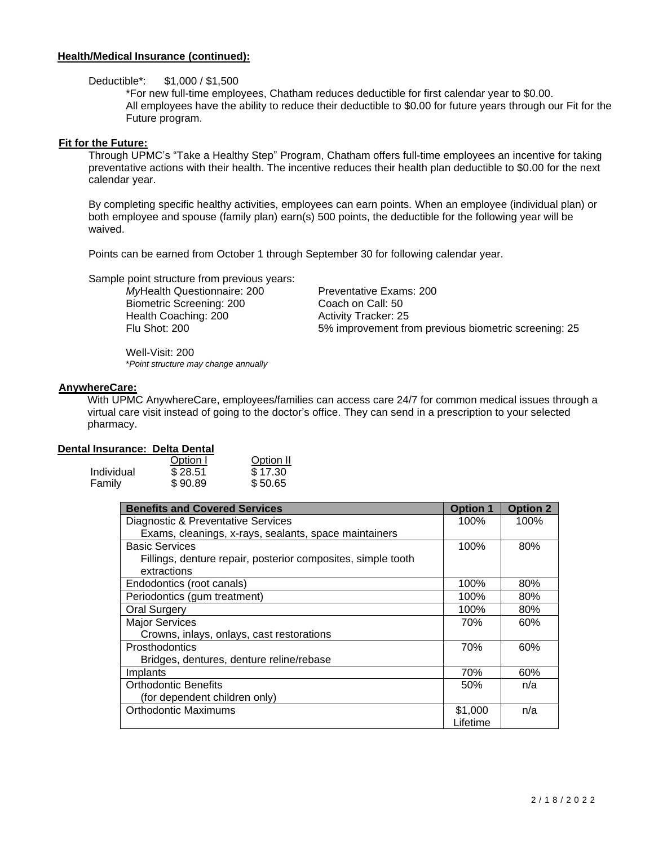# **Health/Medical Insurance (continued):**

Deductible\*: \$1,000 / \$1,500

\*For new full-time employees, Chatham reduces deductible for first calendar year to \$0.00. All employees have the ability to reduce their deductible to \$0.00 for future years through our Fit for the Future program.

# **Fit for the Future:**

Through UPMC's "Take a Healthy Step" Program, Chatham offers full-time employees an incentive for taking preventative actions with their health. The incentive reduces their health plan deductible to \$0.00 for the next calendar year.

By completing specific healthy activities, employees can earn points. When an employee (individual plan) or both employee and spouse (family plan) earn(s) 500 points, the deductible for the following year will be waived.

Points can be earned from October 1 through September 30 for following calendar year.

Sample point structure from previous years:

Biometric Screening: 200 Coach on Call: 50 Health Coaching: 200 Activity Tracker: 25

*My*Health Questionnaire: 200 Preventative Exams: 200 Flu Shot: 200 5% improvement from previous biometric screening: 25

Well-Visit: 200 \**Point structure may change annually*

# **AnywhereCare:**

With UPMC AnywhereCare, employees/families can access care 24/7 for common medical issues through a virtual care visit instead of going to the doctor's office. They can send in a prescription to your selected pharmacy.

# **Dental Insurance: Delta Dental**

|            | Option I | Option II |
|------------|----------|-----------|
| Individual | \$28.51  | \$17.30   |
| Family     | \$90.89  | \$50.65   |

| <b>Benefits and Covered Services</b>                         | <b>Option 1</b> | <b>Option 2</b> |
|--------------------------------------------------------------|-----------------|-----------------|
| Diagnostic & Preventative Services                           | 100%            | 100%            |
| Exams, cleanings, x-rays, sealants, space maintainers        |                 |                 |
| <b>Basic Services</b>                                        | 100%            | 80%             |
| Fillings, denture repair, posterior composites, simple tooth |                 |                 |
| extractions                                                  |                 |                 |
| Endodontics (root canals)                                    | 100%            | 80%             |
| Periodontics (gum treatment)                                 | 100%            | 80%             |
| <b>Oral Surgery</b>                                          | 100%            | 80%             |
| <b>Major Services</b>                                        | 70%             | 60%             |
| Crowns, inlays, onlays, cast restorations                    |                 |                 |
| <b>Prosthodontics</b>                                        | 70%             | 60%             |
| Bridges, dentures, denture reline/rebase                     |                 |                 |
| Implants                                                     | 70%             | 60%             |
| <b>Orthodontic Benefits</b>                                  | 50%             | n/a             |
| (for dependent children only)                                |                 |                 |
| <b>Orthodontic Maximums</b>                                  | \$1,000         | n/a             |
|                                                              | Lifetime        |                 |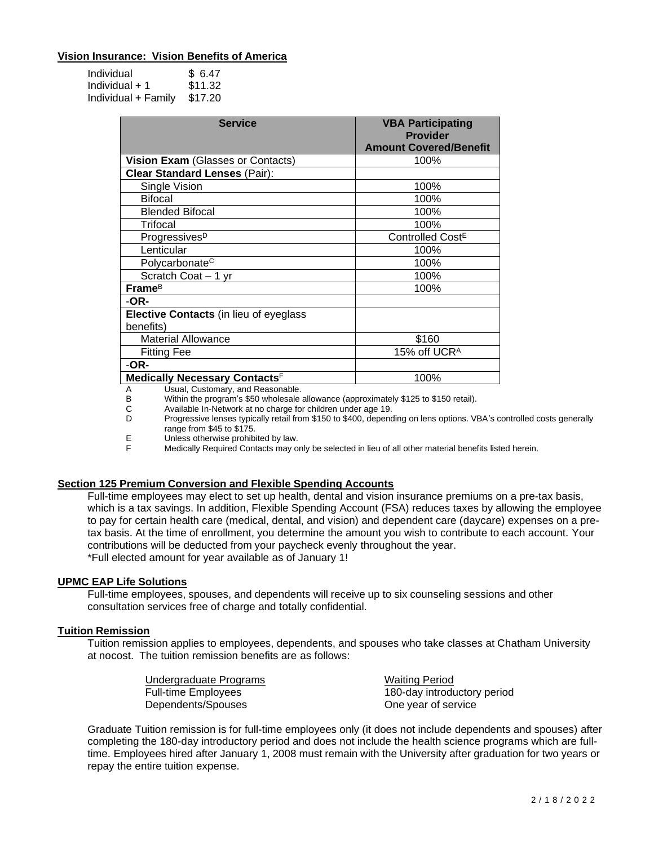# **Vision Insurance: Vision Benefits of America**

| Individual          | \$6.47  |
|---------------------|---------|
| Individual $+1$     | \$11.32 |
| Individual + Family | \$17.20 |

| <b>Service</b>                                             | <b>VBA Participating</b><br><b>Provider</b><br><b>Amount Covered/Benefit</b> |
|------------------------------------------------------------|------------------------------------------------------------------------------|
| Vision Exam (Glasses or Contacts)                          | 100%                                                                         |
| <b>Clear Standard Lenses (Pair):</b>                       |                                                                              |
| Single Vision                                              | 100%                                                                         |
| <b>Bifocal</b>                                             | 100%                                                                         |
| <b>Blended Bifocal</b>                                     | 100%                                                                         |
| Trifocal                                                   | 100%                                                                         |
| Progressives <sup>D</sup>                                  | Controlled Cost <sup>E</sup>                                                 |
| Lenticular                                                 | 100%                                                                         |
| Polycarbonate <sup>C</sup>                                 | 100%                                                                         |
| Scratch Coat - 1 yr                                        | 100%                                                                         |
| Frame <sup>B</sup>                                         | 100%                                                                         |
| -OR-                                                       |                                                                              |
| <b>Elective Contacts</b> (in lieu of eyeglass<br>benefits) |                                                                              |
| <b>Material Allowance</b>                                  | \$160                                                                        |
| <b>Fitting Fee</b>                                         | 15% off UCR <sup>A</sup>                                                     |
| -OR-                                                       |                                                                              |
| Medically Necessary Contacts <sup>F</sup>                  | 100%                                                                         |

A Usual, Customary, and Reasonable.<br>B Within the program's \$50 wholesale

Within the program's \$50 wholesale allowance (approximately \$125 to \$150 retail).

C Available In-Network at no charge for children under age 19.

Progressive lenses typically retail from \$150 to \$400, depending on lens options. VBA's controlled costs generally range from \$45 to \$175.

E Unless otherwise prohibited by law.<br>F Medically Required Contacts may o

Medically Required Contacts may only be selected in lieu of all other material benefits listed herein.

# **Section 125 Premium Conversion and Flexible Spending Accounts**

Full-time employees may elect to set up health, dental and vision insurance premiums on a pre-tax basis, which is a tax savings. In addition, Flexible Spending Account (FSA) reduces taxes by allowing the employee to pay for certain health care (medical, dental, and vision) and dependent care (daycare) expenses on a pretax basis. At the time of enrollment, you determine the amount you wish to contribute to each account. Your contributions will be deducted from your paycheck evenly throughout the year. \*Full elected amount for year available as of January 1!

#### **UPMC EAP Life Solutions**

Full-time employees, spouses, and dependents will receive up to six counseling sessions and other consultation services free of charge and totally confidential.

#### **Tuition Remission**

Tuition remission applies to employees, dependents, and spouses who take classes at Chatham University at nocost. The tuition remission benefits are as follows:

| Undergraduate Programs     | <b>Waiting Period</b>       |
|----------------------------|-----------------------------|
| <b>Full-time Employees</b> | 180-day introductory period |
| Dependents/Spouses         | One year of service         |

Graduate Tuition remission is for full-time employees only (it does not include dependents and spouses) after completing the 180-day introductory period and does not include the health science programs which are fulltime. Employees hired after January 1, 2008 must remain with the University after graduation for two years or repay the entire tuition expense.